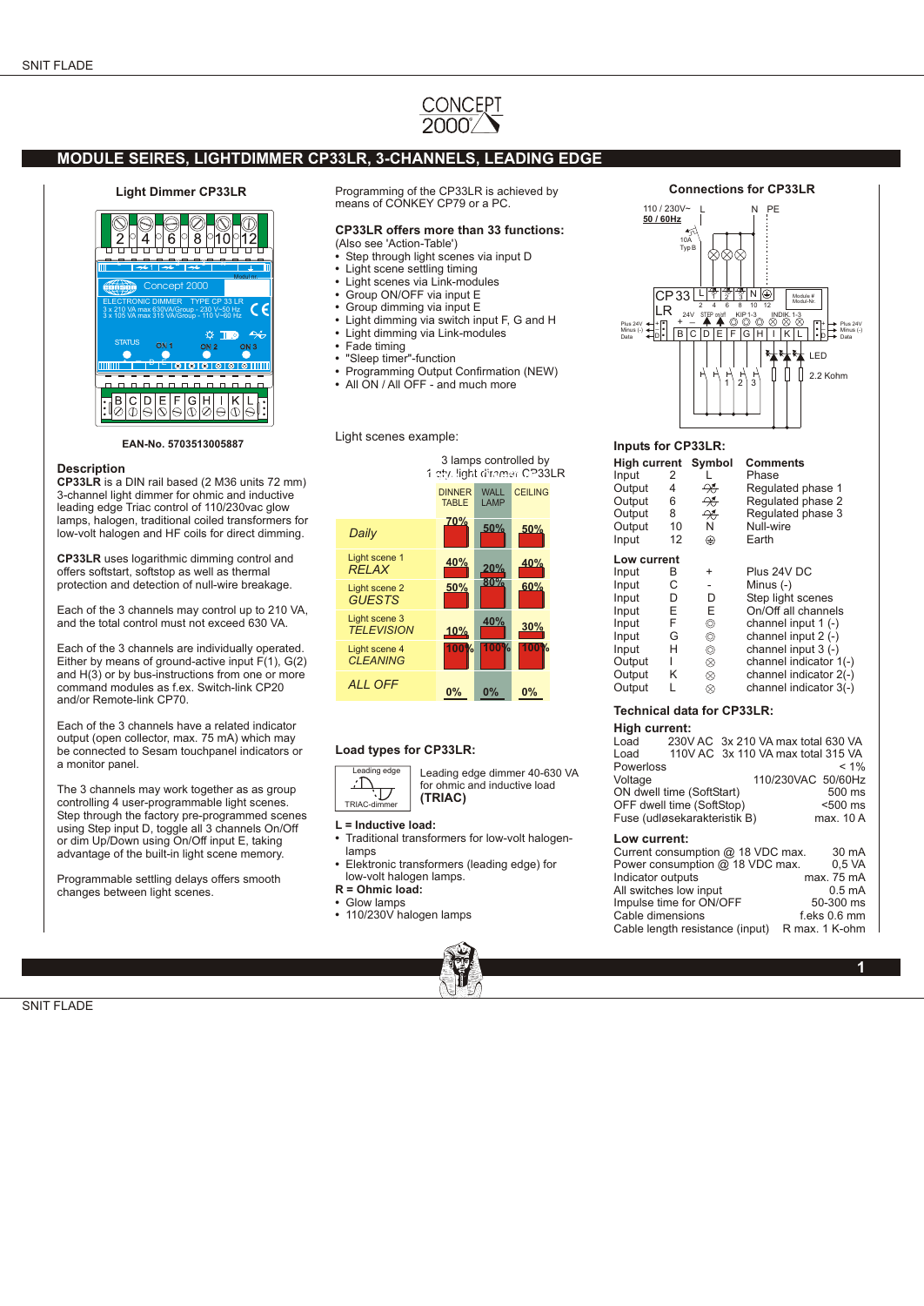# CONCEPT

# **MODULE SEIRES, LIGHTDIMMER CP33LR, 3-CHANNELS, LEADING EDGE**

#### **Light Dimmer CP33LR**



**EAN-No. 5703513005887**

### **Description**

**CP33LR** is a DIN rail based (2 M36 units 72 mm) 3-channel light dimmer for ohmic and inductive leading edge Triac control of 110/230vac glow lamps, halogen, traditional coiled transformers for low-volt halogen and HF coils for direct dimming.

**CP33LR** uses logarithmic dimming control and offers softstart, softstop as well as thermal protection and detection of null-wire breakage.

Each of the 3 channels may control up to 210 VA, and the total control must not exceed 630 VA.

Each of the 3 channels are individually operated. Either by means of ground-active input  $F(1)$ ,  $G(2)$ and H(3) or by bus-instructions from one or more command modules as f.ex. Switch-link CP20 and/or Remote-link CP70.

Each of the 3 channels have a related indicator output (open collector, max. 75 mA) which may be connected to Sesam touchpanel indicators or a monitor panel.

The 3 channels may work together as as group controlling 4 user-programmable light scenes. Step through the factory pre-programmed scenes using Step input D, toggle all 3 channels On/Off or dim Up/Down using On/Off input E, taking advantage of the built-in light scene memory.

Programmable settling delays offers smooth changes between light scenes.

Programming of the CP33LR is achieved by means of CONKEY CP79 or a PC.

# **CP33LR offers more than 33 functions:**

(Also see 'Action-Table') • Step through light scenes via input D

- **•** Light scene settling timing
- **•** Light scenes via Link-modules
- **•** Group ON/OFF via input E
- **•** Group dimming via input E
- **•** Light dimming via switch input F, G and H
- **•** Light dimming via Link-modules
- **•** Fade timing
- **•** "Sleep timer"-function **•** Programming Output Confirmation (NEW)
- **•** All ON / All OFF and much more
- Light scenes example:



## **Load types for CP33LR:**



#### **L = Inductive load:**

- **•** Traditional transformers for low-volt halogenlamps
- **•** Elektronic transformers (leading edge) for low-volt halogen lamps.
- **R = Ohmic load:**
- **•** Glow lamps
- **•** 110/230V halogen lamps



**Connections for CP33LR**



# **Inputs for CP33LR:**

| High current Symbol |             |               | <b>Comments</b>         |  |  |
|---------------------|-------------|---------------|-------------------------|--|--|
| Input               | 2           |               | Phase                   |  |  |
| Output              | 4           | ₩             | Regulated phase 1       |  |  |
| Output              | 6           | ₩             | Regulated phase 2       |  |  |
| Output              | 8           | $\rightarrow$ | Regulated phase 3       |  |  |
| Output              | 10          | N             | Null-wire               |  |  |
| Input               | 12          | ⊕             | Earth                   |  |  |
|                     | Low current |               |                         |  |  |
| Input               | в           | +             | Plus 24V DC             |  |  |
| Input               | C           |               | Minus $(-)$             |  |  |
| Input               | D           | D             | Step light scenes       |  |  |
| Input               | E           | E             | On/Off all channels     |  |  |
| Input               | F           | ⊚             | channel input 1 (-)     |  |  |
| Input               | G           | ⊚             | channel input $2$ (-)   |  |  |
| Input               | н           | $^{\circ}$    | channel input $3$ $(-)$ |  |  |
| Output              |             | $^{\circ}$    | channel indicator 1(-)  |  |  |
| Output              | Κ           | ⊗             | channel indicator 2(-)  |  |  |
| Output              | L           | ⊗             | channel indicator 3(-)  |  |  |

## **Technical data for CP33LR:**

#### **High current:**

|                           |                              | Load 230V AC 3x 210 VA max total 630 VA |                    |
|---------------------------|------------------------------|-----------------------------------------|--------------------|
| Load                      |                              | 110V AC 3x 110 VA max total 315 VA      |                    |
| Powerloss                 |                              |                                         | $< 1\%$            |
| Voltage                   |                              |                                         | 110/230VAC 50/60Hz |
| ON dwell time (SoftStart) | 500 ms                       |                                         |                    |
| OFF dwell time (SoftStop) | $500$ ms                     |                                         |                    |
|                           | Fuse (udløsekarakteristik B) |                                         | max. 10 A          |
| Low current:              |                              |                                         |                    |
|                           |                              | Current consumption @ 18 VDC max.       | 30 mA              |
|                           |                              | Power consumption @ 18 VDC max.         | $0.5$ VA           |
| Indicator outputs         |                              |                                         | max. 75 mA         |
|                           | All switches low input       |                                         | $0.5 \text{ mA}$   |
|                           | Impulse time for ON/OFF      |                                         | 50-300 ms          |
| Cable dimensions          |                              |                                         | $f.eks$ 0.6 mm     |
|                           |                              |                                         |                    |

Cable length resistance (input) R max. 1 K-ohm

**1**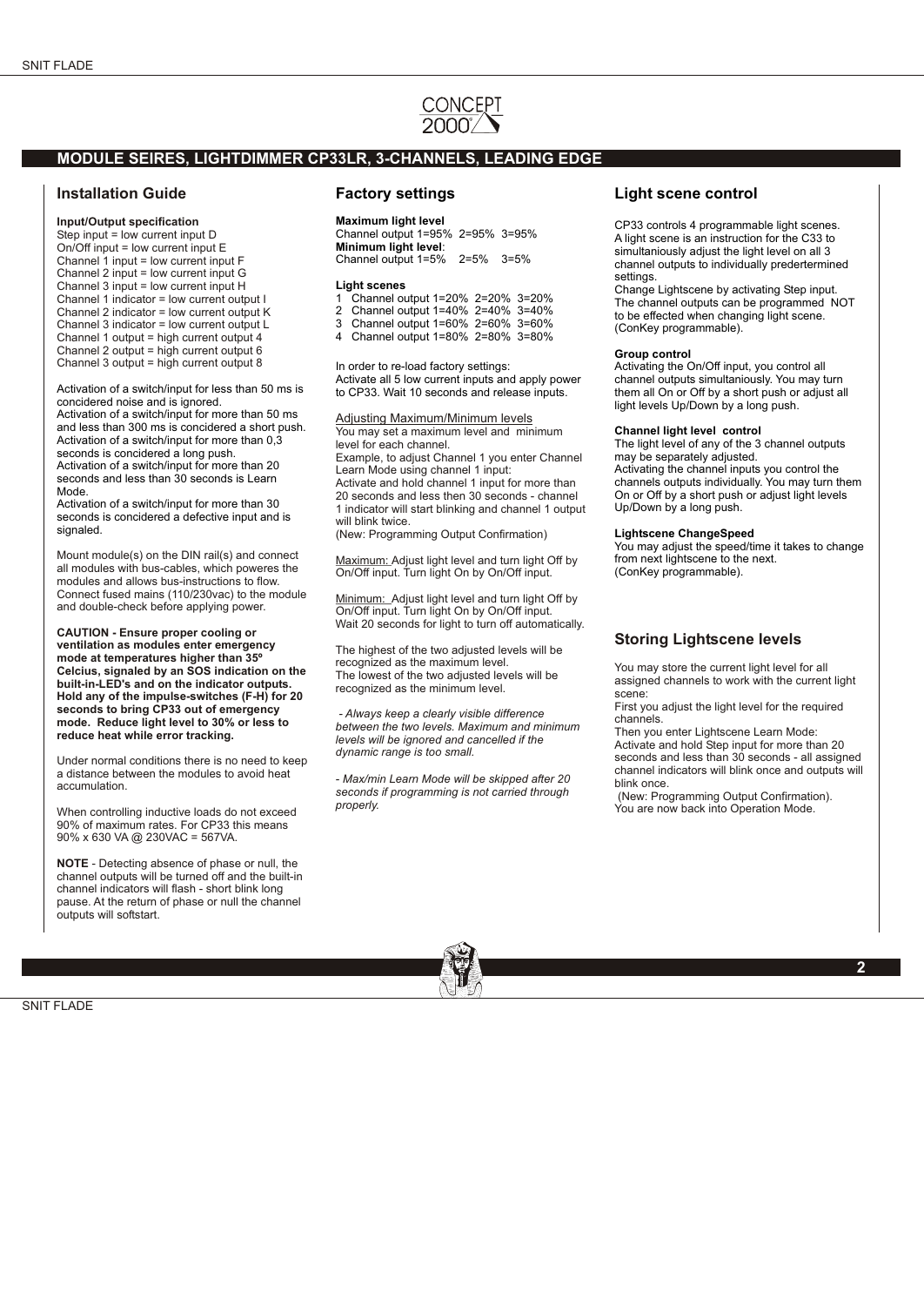# CONCEPT

## **MODULE SEIRES, LIGHTDIMMER CP33LR, 3-CHANNELS, LEADING EDGE**

## **Installation Guide**

**Input/Output specification**

Step input = low current input D On/Off input = low current input E Channel 1 input = low current input F Channel 2 input = low current input G Channel 3 input = low current input H Channel 1 indicator = low current output I Channel 2 indicator = low current output K Channel 3 indicator = low current output L Channel 1 output = high current output 4 Channel 2 output = high current output 6 Channel 3 output = high current output 8

Activation of a switch/input for less than 50 ms is concidered noise and is ignored.

Activation of a switch/input for more than 50 ms and less than 300 ms is concidered a short push. Activation of a switch/input for more than 0,3 seconds is concidered a long push. Activation of a switch/input for more than 20

seconds and less than 30 seconds is Learn Mode.

Activation of a switch/input for more than 30 seconds is concidered a defective input and is signaled.

Mount module(s) on the DIN rail(s) and connect all modules with bus-cables, which poweres the modules and allows bus-instructions to flow. Connect fused mains (110/230vac) to the module and double-check before applying power.

**CAUTION - Ensure proper cooling or ventilation as modules enter emergency mode at temperatures higher than 35º Celcius, signaled by an SOS indication on the built-in-LED's and on the indicator outputs. Hold any of the impulse-switches (F-H) for 20 seconds to bring CP33 out of emergency mode. Reduce light level to 30% or less to reduce heat while error tracking.**

Under normal conditions there is no need to keep a distance between the modules to avoid heat accumulation.

When controlling inductive loads do not exceed 90% of maximum rates. For CP33 this means 90% x 630 VA @ 230VAC = 567VA.

**NOTE** - Detecting absence of phase or null, the channel outputs will be turned off and the built-in channel indicators will flash - short blink long pause. At the return of phase or null the channel outputs will softstart.

## **Factory settings**

### **Maximum light level**

Channel output 1=95% 2=95% 3=95% **Minimum light level**: Channel output 1=5% 2=5% 3=5%

#### **Light scenes**

- 1 Channel output 1=20% 2=20% 3=20%
- 2 Channel output 1=40% 2=40% 3=40% 3 Channel output 1=60% 2=60% 3=60%
- 4 Channel output 1=80% 2=80% 3=80%

In order to re-load factory settings: Activate all 5 low current inputs and apply power to CP33. Wait 10 seconds and release inputs.

Adjusting Maximum/Minimum levels You may set a maximum level and minimum level for each channel. Example, to adjust Channel 1 you enter Channel Learn Mode using channel 1 input: Activate and hold channel 1 input for more than 20 seconds and less then 30 seconds - channel 1 indicator will start blinking and channel 1 output will blink twice

(New: Programming Output Confirmation)

Maximum: Adjust light level and turn light Off by On/Off input. Turn light On by On/Off input.

Minimum: Adjust light level and turn light Off by On/Off input. Turn light On by On/Off input. Wait 20 seconds for light to turn off automatically.

The highest of the two adjusted levels will be recognized as the maximum level. The lowest of the two adjusted levels will be recognized as the minimum level.

 *- Always keep a clearly visible difference between the two levels. Maximum and minimum levels will be ignored and cancelled if the dynamic range is too small.* 

*- Max/min Learn Mode will be skipped after 20 seconds if programming is not carried through properly.*

# **Light scene control**

CP33 controls 4 programmable light scenes. A light scene is an instruction for the C33 to simultaniously adjust the light level on all 3 channel outputs to individually predertermined settings.

Change Lightscene by activating Step input. The channel outputs can be programmed NOT to be effected when changing light scene. (ConKey programmable).

#### **Group control**

Activating the On/Off input, you control all channel outputs simultaniously. You may turn them all On or Off by a short push or adjust all light levels Up/Down by a long push.

#### **Channel light level control**

The light level of any of the 3 channel outputs may be separately adjusted. Activating the channel inputs you control the channels outputs individually. You may turn them On or Off by a short push or adjust light levels Up/Down by a long push.

#### **Lightscene ChangeSpeed**

You may adjust the speed/time it takes to change from next lightscene to the next. (ConKey programmable).

# **Storing Lightscene levels**

You may store the current light level for all assigned channels to work with the current light scene:

First you adjust the light level for the required channels.

Then you enter Lightscene Learn Mode: Activate and hold Step input for more than 20 seconds and less than 30 seconds - all assigned channel indicators will blink once and outputs will blink once.

 (New: Programming Output Confirmation). You are now back into Operation Mode.